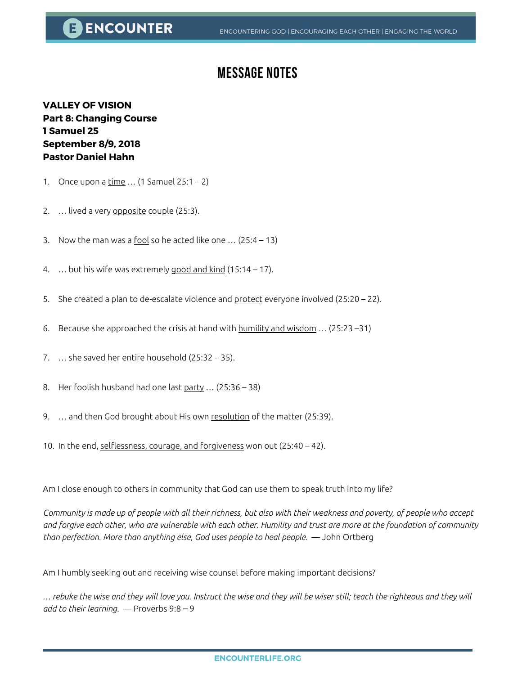## **E ENCOUNTER**

## **Message Notes**

**VALLEY OF VISION Part 8: Changing Course 1 Samuel 25 September 8/9, 2018 Pastor Daniel Hahn**

- 1. Once upon a  $\underline{\text{time}} ... (1 \text{ Samuel } 25:1 2)$
- 2. ... lived a very opposite couple (25:3).
- 3. Now the man was a fool so he acted like one  $\ldots$  (25:4 13)
- 4. … but his wife was extremely good and kind (15:14 17).
- 5. She created a plan to de-escalate violence and protect everyone involved (25:20 22).
- 6. Because she approached the crisis at hand with  $\frac{h}{m}$ lity and wisdom ... (25:23 –31)
- 7. … she saved her entire household (25:32 35).
- 8. Her foolish husband had one last  $party$  ... (25:36 38)
- 9. ... and then God brought about His own resolution of the matter (25:39).
- 10. In the end, selflessness, courage, and forgiveness won out (25:40 42).

Am I close enough to others in community that God can use them to speak truth into my life?

*Community is made up of people with all their richness, but also with their weakness and poverty, of people who accept and forgive each other, who are vulnerable with each other. Humility and trust are more at the foundation of community than perfection. More than anything else, God uses people to heal people.* — John Ortberg

Am I humbly seeking out and receiving wise counsel before making important decisions?

*… rebuke the wise and they will love you. Instruct the wise and they will be wiser still; teach the righteous and they will add to their learning.* — Proverbs 9:8 ‒ 9